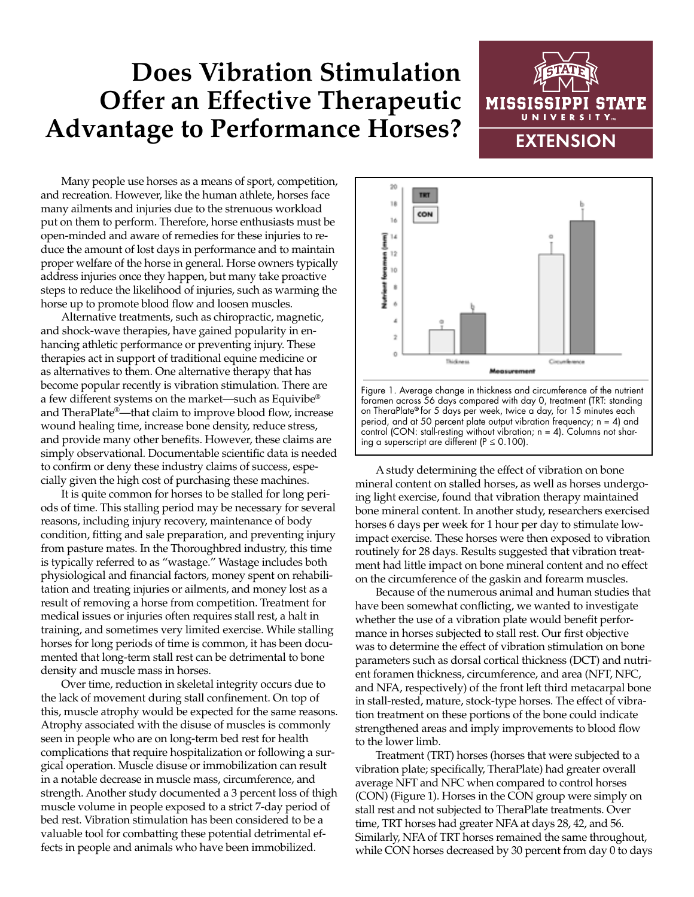## **Does Vibration Stimulation Offer an Effective Therapeutic Advantage to Performance Horses?**



Many people use horses as a means of sport, competition, and recreation. However, like the human athlete, horses face many ailments and injuries due to the strenuous workload put on them to perform. Therefore, horse enthusiasts must be open-minded and aware of remedies for these injuries to reduce the amount of lost days in performance and to maintain proper welfare of the horse in general. Horse owners typically address injuries once they happen, but many take proactive steps to reduce the likelihood of injuries, such as warming the horse up to promote blood flow and loosen muscles.

Alternative treatments, such as chiropractic, magnetic, and shock-wave therapies, have gained popularity in enhancing athletic performance or preventing injury. These therapies act in support of traditional equine medicine or as alternatives to them. One alternative therapy that has become popular recently is vibration stimulation. There are a few different systems on the market—such as Equivibe® and TheraPlate®—that claim to improve blood flow, increase wound healing time, increase bone density, reduce stress, and provide many other benefits. However, these claims are simply observational. Documentable scientific data is needed to confirm or deny these industry claims of success, especially given the high cost of purchasing these machines.

It is quite common for horses to be stalled for long periods of time. This stalling period may be necessary for several reasons, including injury recovery, maintenance of body condition, fitting and sale preparation, and preventing injury from pasture mates. In the Thoroughbred industry, this time is typically referred to as "wastage." Wastage includes both physiological and financial factors, money spent on rehabilitation and treating injuries or ailments, and money lost as a result of removing a horse from competition. Treatment for medical issues or injuries often requires stall rest, a halt in training, and sometimes very limited exercise. While stalling horses for long periods of time is common, it has been documented that long-term stall rest can be detrimental to bone density and muscle mass in horses.

Over time, reduction in skeletal integrity occurs due to the lack of movement during stall confinement. On top of this, muscle atrophy would be expected for the same reasons. Atrophy associated with the disuse of muscles is commonly seen in people who are on long-term bed rest for health complications that require hospitalization or following a surgical operation. Muscle disuse or immobilization can result in a notable decrease in muscle mass, circumference, and strength. Another study documented a 3 percent loss of thigh muscle volume in people exposed to a strict 7-day period of bed rest. Vibration stimulation has been considered to be a valuable tool for combatting these potential detrimental effects in people and animals who have been immobilized.





A study determining the effect of vibration on bone mineral content on stalled horses, as well as horses undergoing light exercise, found that vibration therapy maintained bone mineral content. In another study, researchers exercised horses 6 days per week for 1 hour per day to stimulate lowimpact exercise. These horses were then exposed to vibration routinely for 28 days. Results suggested that vibration treatment had little impact on bone mineral content and no effect on the circumference of the gaskin and forearm muscles.

Because of the numerous animal and human studies that have been somewhat conflicting, we wanted to investigate whether the use of a vibration plate would benefit performance in horses subjected to stall rest. Our first objective was to determine the effect of vibration stimulation on bone parameters such as dorsal cortical thickness (DCT) and nutrient foramen thickness, circumference, and area (NFT, NFC, and NFA, respectively) of the front left third metacarpal bone in stall-rested, mature, stock-type horses. The effect of vibration treatment on these portions of the bone could indicate strengthened areas and imply improvements to blood flow to the lower limb.

Treatment (TRT) horses (horses that were subjected to a vibration plate; specifically, TheraPlate) had greater overall average NFT and NFC when compared to control horses (CON) (Figure 1). Horses in the CON group were simply on stall rest and not subjected to TheraPlate treatments. Over time, TRT horses had greater NFA at days 28, 42, and 56. Similarly, NFA of TRT horses remained the same throughout, while CON horses decreased by 30 percent from day 0 to days